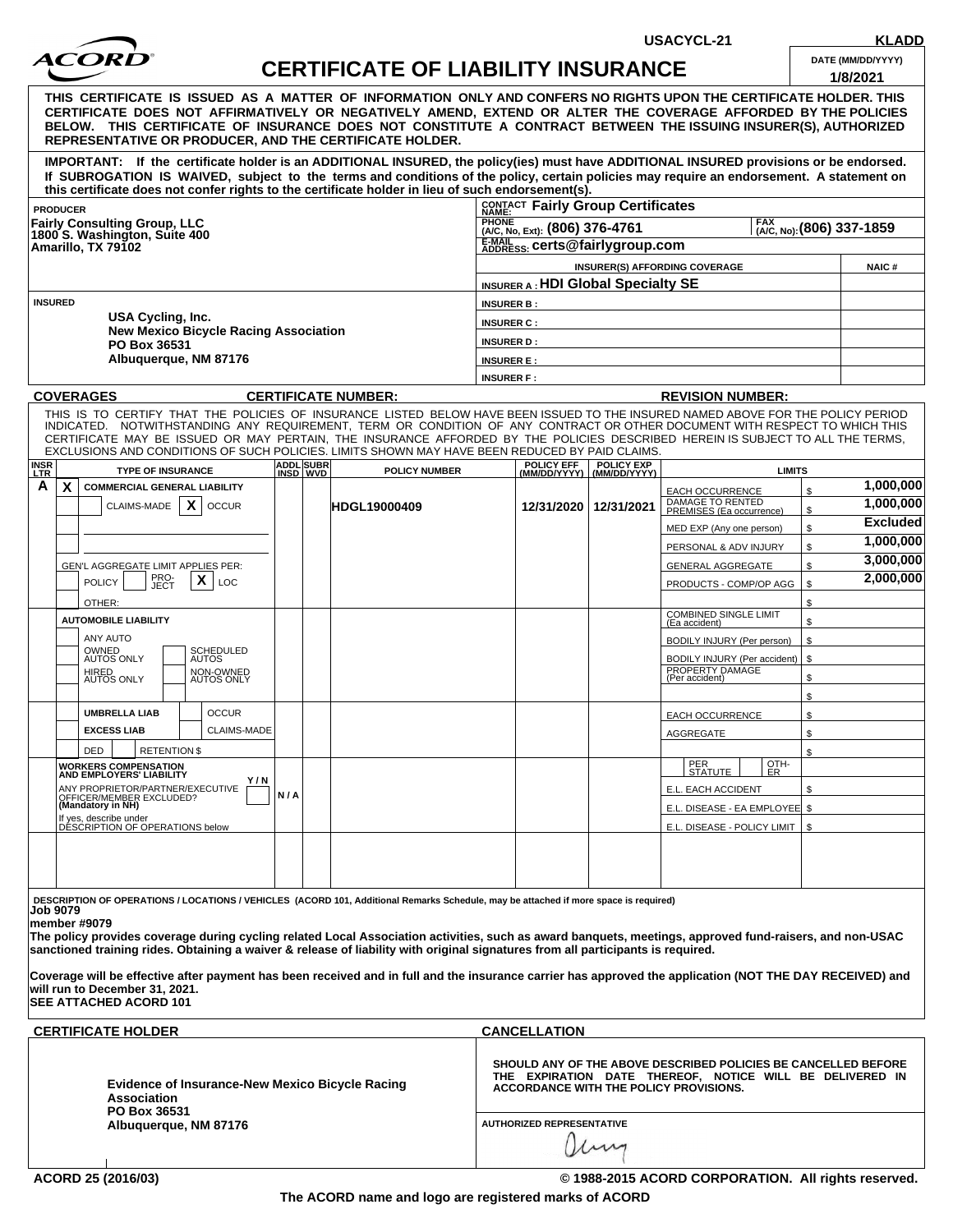

## **CERTIFICATE OF LIABILITY INSURANCE DATE (MM/DD/YYYY)**

**USACYCL-21 KLADD**

|                                                                                   |                                              |                       |  | CERTIFICATE OF LIABILITY INSURANCE                                                                                                                                                                                                                                                                                                                                                                                        |                                        |                                                                      |                           |                                               |               | 1/8/2021              |  |
|-----------------------------------------------------------------------------------|----------------------------------------------|-----------------------|--|---------------------------------------------------------------------------------------------------------------------------------------------------------------------------------------------------------------------------------------------------------------------------------------------------------------------------------------------------------------------------------------------------------------------------|----------------------------------------|----------------------------------------------------------------------|---------------------------|-----------------------------------------------|---------------|-----------------------|--|
|                                                                                   |                                              |                       |  | THIS  CERTIFICATE  IS  ISSUED  AS  A  MATTER  OF  INFORMATION  ONLY AND CONFERS NO RIGHTS UPON THE CERTIFICATE HOLDER. THIS<br>CERTIFICATE DOES NOT AFFIRMATIVELY OR NEGATIVELY AMEND. EXTEND OR ALTER THE COVERAGE AFFORDED BY THE POLICIES<br>BELOW. THIS CERTIFICATE OF INSURANCE DOES NOT CONSTITUTE A CONTRACT BETWEEN THE ISSUING INSURER(S), AUTHORIZED<br>REPRESENTATIVE OR PRODUCER, AND THE CERTIFICATE HOLDER. |                                        |                                                                      |                           |                                               |               |                       |  |
|                                                                                   |                                              |                       |  | IMPORTANT: If the certificate holder is an ADDITIONAL INSURED, the policy(ies) must have ADDITIONAL INSURED provisions or be endorsed.<br>If SUBROGATION IS WAIVED, subject to the terms and conditions of the policy, certain policies may require an endorsement. A statement on<br>this certificate does not confer rights to the certificate holder in lieu of such endorsement(s).                                   |                                        |                                                                      |                           |                                               |               |                       |  |
| <b>PRODUCER</b>                                                                   |                                              |                       |  |                                                                                                                                                                                                                                                                                                                                                                                                                           |                                        | CONTACT Fairly Group Certificates                                    |                           |                                               |               |                       |  |
| <b>Fairly Consulting Group, LLC</b>                                               |                                              |                       |  |                                                                                                                                                                                                                                                                                                                                                                                                                           |                                        | PHONE<br>(A/C, No, Ext): (806) 376-4761<br>[A/C, No): (806) 337-1859 |                           |                                               |               |                       |  |
| 1800 S. Washington, Suite 400<br>Amarillo, TX 79102                               |                                              |                       |  |                                                                                                                                                                                                                                                                                                                                                                                                                           |                                        | E-MAIL SS: certs@fairlygroup.com                                     |                           |                                               |               |                       |  |
|                                                                                   |                                              |                       |  |                                                                                                                                                                                                                                                                                                                                                                                                                           |                                        |                                                                      |                           | <b>INSURER(S) AFFORDING COVERAGE</b>          |               | <b>NAIC#</b>          |  |
|                                                                                   |                                              |                       |  |                                                                                                                                                                                                                                                                                                                                                                                                                           |                                        | <b>INSURER A: HDI Global Specialty SE</b>                            |                           |                                               |               |                       |  |
| <b>INSURED</b>                                                                    |                                              |                       |  |                                                                                                                                                                                                                                                                                                                                                                                                                           | <b>INSURER B:</b><br><b>INSURER C:</b> |                                                                      |                           |                                               |               |                       |  |
| USA Cycling, Inc.                                                                 |                                              |                       |  |                                                                                                                                                                                                                                                                                                                                                                                                                           |                                        |                                                                      |                           |                                               |               |                       |  |
| PO Box 36531                                                                      | <b>New Mexico Bicycle Racing Association</b> |                       |  |                                                                                                                                                                                                                                                                                                                                                                                                                           | <b>INSURER D:</b>                      |                                                                      |                           |                                               |               |                       |  |
|                                                                                   | Albuquerque, NM 87176                        |                       |  |                                                                                                                                                                                                                                                                                                                                                                                                                           | <b>INSURER E:</b>                      |                                                                      |                           |                                               |               |                       |  |
|                                                                                   |                                              |                       |  |                                                                                                                                                                                                                                                                                                                                                                                                                           | <b>INSURER F:</b>                      |                                                                      |                           |                                               |               |                       |  |
| <b>COVERAGES</b><br><b>CERTIFICATE NUMBER:</b>                                    |                                              |                       |  |                                                                                                                                                                                                                                                                                                                                                                                                                           |                                        | <b>REVISION NUMBER:</b>                                              |                           |                                               |               |                       |  |
|                                                                                   |                                              |                       |  | THIS IS TO CERTIFY THAT THE POLICIES OF INSURANCE LISTED BELOW HAVE BEEN ISSUED TO THE INSURED NAMED ABOVE FOR THE POLICY PERIOD<br>INDICATED. NOTWITHSTANDING ANY REQUIREMENT, TERM OR CONDITION OF ANY CONTRACT OR OTHER DOCUMENT WITH RESPECT TO WHICH THIS<br>CERTIFICATE MAY BE ISSUED OR MAY PERTAIN, THE INSURANCE AFFORDED BY THE POLICIES DESCRIBED HEREIN IS SUBJECT TO ALL THE TERMS,                          |                                        |                                                                      |                           |                                               |               |                       |  |
| <b>INSR</b>                                                                       |                                              |                       |  | EXCLUSIONS AND CONDITIONS OF SUCH POLICIES. LIMITS SHOWN MAY HAVE BEEN REDUCED BY PAID CLAIMS.                                                                                                                                                                                                                                                                                                                            |                                        | POLICY EFF                                                           | <b>POLICY EXP</b>         |                                               |               |                       |  |
| <u>LTR</u><br>A                                                                   | <b>TYPE OF INSURANCE</b>                     | ADDL SUBR<br>INSD WVD |  | <b>POLICY NUMBER</b>                                                                                                                                                                                                                                                                                                                                                                                                      |                                        |                                                                      | (MM/DD/YYYY) (MM/DD/YYYY) |                                               | <b>LIMITS</b> | 1,000,000             |  |
| X<br><b>COMMERCIAL GENERAL LIABILITY</b>                                          |                                              |                       |  |                                                                                                                                                                                                                                                                                                                                                                                                                           |                                        |                                                                      |                           | <b>EACH OCCURRENCE</b>                        |               | \$<br>1,000,000       |  |
| CLAIMS-MADE                                                                       | $\mathsf{x}$<br><b>OCCUR</b>                 |                       |  | <b>HDGL19000409</b>                                                                                                                                                                                                                                                                                                                                                                                                       |                                        | 12/31/2020                                                           | 12/31/2021                | DAMAGE TO RENTED<br>PREMISES (Ea occurrence)  |               | \$<br><b>Excluded</b> |  |
|                                                                                   |                                              |                       |  |                                                                                                                                                                                                                                                                                                                                                                                                                           |                                        |                                                                      |                           | MED EXP (Any one person)                      |               | \$<br>1,000,000       |  |
|                                                                                   |                                              |                       |  |                                                                                                                                                                                                                                                                                                                                                                                                                           |                                        |                                                                      |                           | PERSONAL & ADV INJURY                         |               | \$<br>3,000,000       |  |
| GEN'L AGGREGATE LIMIT APPLIES PER:                                                |                                              |                       |  |                                                                                                                                                                                                                                                                                                                                                                                                                           |                                        |                                                                      |                           | <b>GENERAL AGGREGATE</b>                      |               | \$<br>2,000,000       |  |
| PRO-<br>JECT<br><b>POLICY</b><br>OTHER:                                           | X<br>LOC                                     |                       |  |                                                                                                                                                                                                                                                                                                                                                                                                                           |                                        |                                                                      |                           | PRODUCTS - COMP/OP AGG                        | \$            | \$                    |  |
| <b>AUTOMOBILE LIABILITY</b>                                                       |                                              |                       |  |                                                                                                                                                                                                                                                                                                                                                                                                                           |                                        |                                                                      |                           | <b>COMBINED SINGLE LIMIT</b><br>(Ea accident) |               | \$                    |  |
| ANY AUTO                                                                          |                                              |                       |  |                                                                                                                                                                                                                                                                                                                                                                                                                           |                                        |                                                                      |                           | BODILY INJURY (Per person)                    |               | \$                    |  |
| OWNED<br>AUTOS ONLY                                                               | SCHEDULED<br>AUTOS                           |                       |  |                                                                                                                                                                                                                                                                                                                                                                                                                           |                                        |                                                                      |                           | BODILY INJURY (Per accident)   \$             |               |                       |  |
| HIRED<br>AUTOS ONLY                                                               | NON-OWNED<br>AUTOS ONLY                      |                       |  |                                                                                                                                                                                                                                                                                                                                                                                                                           |                                        |                                                                      |                           | PROPERTY DAMAGE<br>(Per accident)             |               | \$                    |  |
|                                                                                   |                                              |                       |  |                                                                                                                                                                                                                                                                                                                                                                                                                           |                                        |                                                                      |                           |                                               |               | \$                    |  |
| <b>UMBRELLA LIAB</b>                                                              | <b>OCCUR</b>                                 |                       |  |                                                                                                                                                                                                                                                                                                                                                                                                                           |                                        |                                                                      |                           | <b>EACH OCCURRENCE</b>                        |               | \$                    |  |
| <b>EXCESS LIAB</b>                                                                | <b>CLAIMS-MADE</b>                           |                       |  |                                                                                                                                                                                                                                                                                                                                                                                                                           |                                        |                                                                      |                           | AGGREGATE                                     |               | \$                    |  |
| DED                                                                               | <b>RETENTION \$</b>                          |                       |  |                                                                                                                                                                                                                                                                                                                                                                                                                           |                                        |                                                                      |                           | PER                                           | OTH-          | \$                    |  |
| <b>WORKERS COMPENSATION</b><br><b>AND EMPLOYERS' LIABILITY</b>                    | Y/N                                          |                       |  |                                                                                                                                                                                                                                                                                                                                                                                                                           |                                        |                                                                      |                           | <b>STATUTE</b>                                | ER            |                       |  |
| ANY PROPRIETOR/PARTNER/EXECUTIVE<br>OFFICER/MEMBER EXCLUDED?<br>(Mandatory in NH) |                                              | N/A                   |  |                                                                                                                                                                                                                                                                                                                                                                                                                           |                                        |                                                                      |                           | E.L. EACH ACCIDENT                            |               | \$                    |  |
|                                                                                   |                                              |                       |  |                                                                                                                                                                                                                                                                                                                                                                                                                           |                                        |                                                                      |                           | E.L. DISEASE - EA EMPLOYEE \$                 |               |                       |  |
| If yes, describe under<br>DESCRIPTION OF OPERATIONS below                         |                                              |                       |  |                                                                                                                                                                                                                                                                                                                                                                                                                           |                                        | E.L. DISEASE - POLICY LIMIT   \$                                     |                           |                                               |               |                       |  |
|                                                                                   |                                              |                       |  |                                                                                                                                                                                                                                                                                                                                                                                                                           |                                        |                                                                      |                           |                                               |               |                       |  |
|                                                                                   |                                              |                       |  |                                                                                                                                                                                                                                                                                                                                                                                                                           |                                        |                                                                      |                           |                                               |               |                       |  |
|                                                                                   |                                              |                       |  |                                                                                                                                                                                                                                                                                                                                                                                                                           |                                        |                                                                      |                           |                                               |               |                       |  |
| Job 9079<br>member #9079∣                                                         |                                              |                       |  | DESCRIPTION OF OPERATIONS / LOCATIONS / VEHICLES (ACORD 101, Additional Remarks Schedule, may be attached if more space is required)<br>The policy provides coverage during cycling related Local Association activities, such as award banquets, meetings, approved fund-raisers, and non-USAC                                                                                                                           |                                        |                                                                      |                           |                                               |               |                       |  |
|                                                                                   |                                              |                       |  | sanctioned training rides. Obtaining a waiver & release of liability with original signatures from all participants is required.<br>Coverage will be effective after payment has been received and in full and the insurance carrier has approved the application (NOT THE DAY RECEIVED) and                                                                                                                              |                                        |                                                                      |                           |                                               |               |                       |  |
|                                                                                   |                                              |                       |  |                                                                                                                                                                                                                                                                                                                                                                                                                           |                                        |                                                                      |                           |                                               |               |                       |  |

**will run to December 31, 2021. SEE ATTACHED ACORD 101** 

| SHOULD ANY OF THE ABOVE DESCRIBED POLICIES BE CANCELLED BEFORE<br>THE EXPIRATION DATE THEREOF. NOTICE WILL BE DELIVERED IN<br>ACCORDANCE WITH THE POLICY PROVISIONS. |
|----------------------------------------------------------------------------------------------------------------------------------------------------------------------|
| <b>AUTHORIZED REPRESENTATIVE</b><br>M                                                                                                                                |
|                                                                                                                                                                      |

**The ACORD name and logo are registered marks of ACORD**